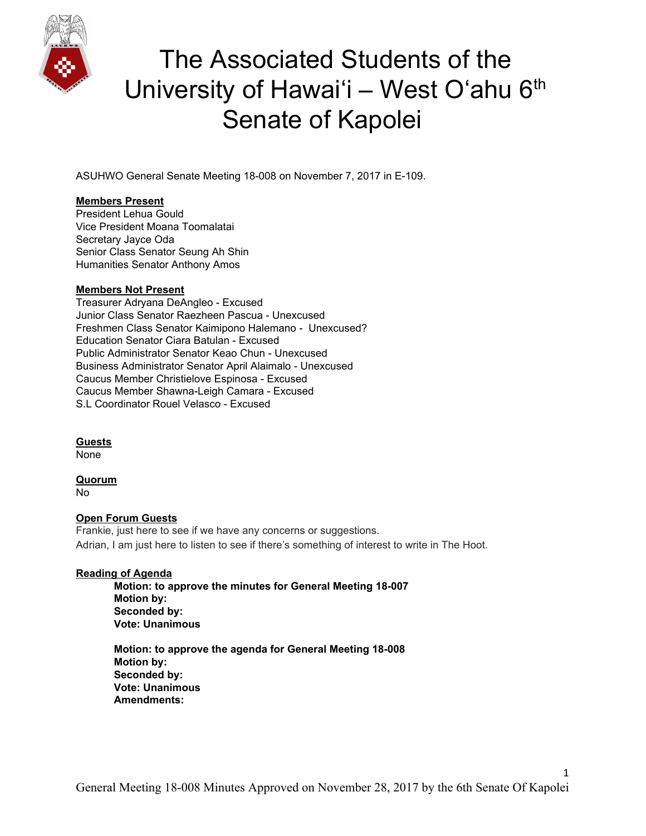

ASUHWO General Senate Meeting 18-008 on November 7, 2017 in E-109.

#### **Members Present**

President Lehua Gould Vice President Moana Toomalatai Secretary Jayce Oda Senior Class Senator Seung Ah Shin Humanities Senator Anthony Amos

#### **Members Not Present**

Treasurer Adryana DeAngleo - Excused Junior Class Senator Raezheen Pascua - Unexcused Freshmen Class Senator Kaimipono Halemano - Unexcused? Education Senator Ciara Batulan - Excused Public Administrator Senator Keao Chun - Unexcused Business Administrator Senator April Alaimalo - Unexcused Caucus Member Christielove Espinosa - Excused Caucus Member Shawna-Leigh Camara - Excused S.L Coordinator Rouel Velasco - Excused

### **Guests**

None

### **Quorum**

No

### **Open Forum Guests**

Frankie, just here to see if we have any concerns or suggestions. Adrian, I am just here to listen to see if there's something of interest to write in The Hoot.

### **Reading of Agenda**

**Motion: to approve the minutes for General Meeting 18-007 Motion by: Seconded by: Vote: Unanimous**

**Motion: to approve the agenda for General Meeting 18-008 Motion by: Seconded by: Vote: Unanimous Amendments:**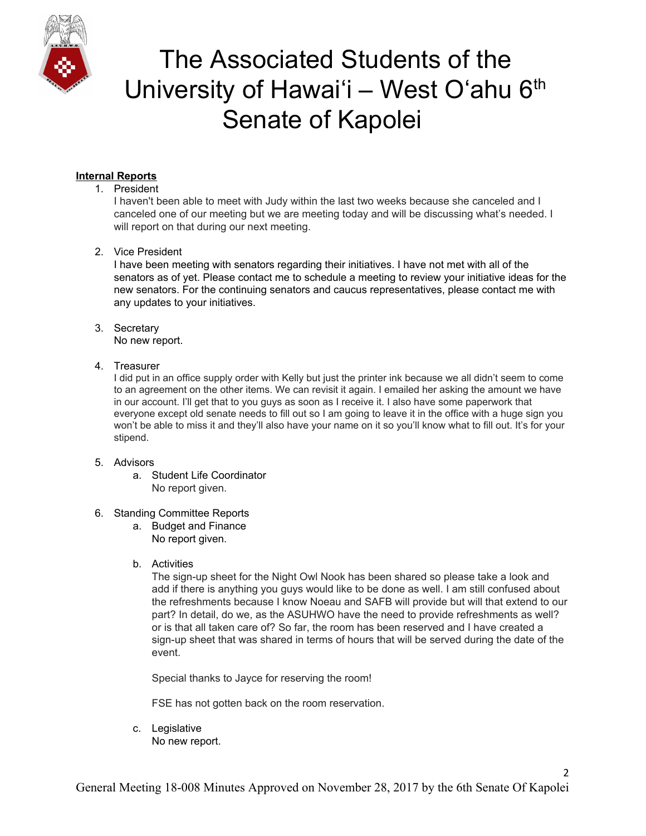

### **Internal Reports**

#### 1. President

I haven't been able to meet with Judy within the last two weeks because she canceled and I canceled one of our meeting but we are meeting today and will be discussing what's needed. I will report on that during our next meeting.

2. Vice President

I have been meeting with senators regarding their initiatives. I have not met with all of the senators as of yet. Please contact me to schedule a meeting to review your initiative ideas for the new senators. For the continuing senators and caucus representatives, please contact me with any updates to your initiatives.

### 3. Secretary

No new report.

#### 4. Treasurer

I did put in an office supply order with Kelly but just the printer ink because we all didn't seem to come to an agreement on the other items. We can revisit it again. I emailed her asking the amount we have in our account. I'll get that to you guys as soon as I receive it. I also have some paperwork that everyone except old senate needs to fill out so I am going to leave it in the office with a huge sign you won't be able to miss it and they'll also have your name on it so you'll know what to fill out. It's for your stipend.

#### 5. Advisors

a. Student Life Coordinator No report given.

### 6. Standing Committee Reports

- a. Budget and Finance No report given.
- b. Activities

The sign-up sheet for the Night Owl Nook has been shared so please take a look and add if there is anything you guys would like to be done as well. I am still confused about the refreshments because I know Noeau and SAFB will provide but will that extend to our part? In detail, do we, as the ASUHWO have the need to provide refreshments as well? or is that all taken care of? So far, the room has been reserved and I have created a sign-up sheet that was shared in terms of hours that will be served during the date of the event.

 $\mathcal{L}$ 

Special thanks to Jayce for reserving the room!

FSE has not gotten back on the room reservation.

c. Legislative No new report.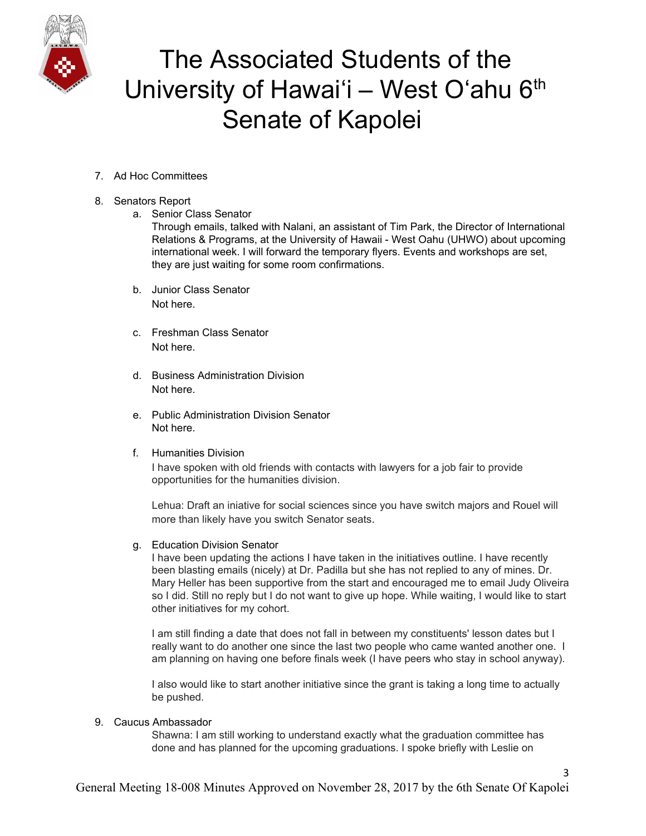

- 7. Ad Hoc Committees
- 8. Senators Report
	- a. Senior Class Senator

Through emails, talked with Nalani, an assistant of Tim Park, the Director of International Relations & Programs, at the University of Hawaii - West Oahu (UHWO) about upcoming international week. I will forward the temporary flyers. Events and workshops are set, they are just waiting for some room confirmations.

- b. Junior Class Senator Not here.
- c. Freshman Class Senator Not here.
- d. Business Administration Division Not here.
- e. Public Administration Division Senator Not here.
- f. Humanities Division

I have spoken with old friends with contacts with lawyers for a job fair to provide opportunities for the humanities division.

Lehua: Draft an iniative for social sciences since you have switch majors and Rouel will more than likely have you switch Senator seats.

g. Education Division Senator

I have been updating the actions I have taken in the initiatives outline. I have recently been blasting emails (nicely) at Dr. Padilla but she has not replied to any of mines. Dr. Mary Heller has been supportive from the start and encouraged me to email Judy Oliveira so I did. Still no reply but I do not want to give up hope. While waiting, I would like to start other initiatives for my cohort.

I am still finding a date that does not fall in between my constituents' lesson dates but I really want to do another one since the last two people who came wanted another one. I am planning on having one before finals week (I have peers who stay in school anyway).

I also would like to start another initiative since the grant is taking a long time to actually be pushed.

### 9. Caucus Ambassador

Shawna: I am still working to understand exactly what the graduation committee has done and has planned for the upcoming graduations. I spoke briefly with Leslie on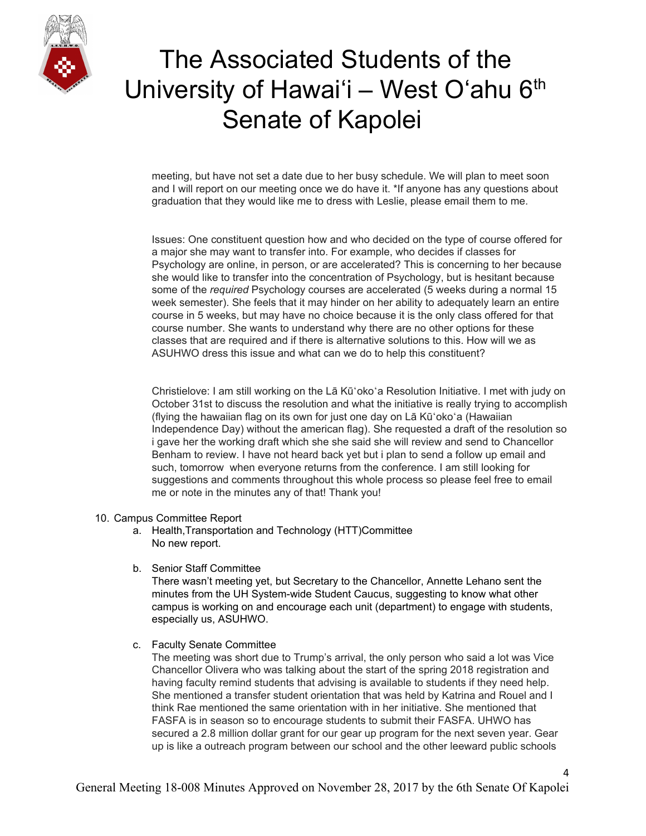

meeting, but have not set a date due to her busy schedule. We will plan to meet soon and I will report on our meeting once we do have it. \*If anyone has any questions about graduation that they would like me to dress with Leslie, please email them to me.

Issues: One constituent question how and who decided on the type of course offered for a major she may want to transfer into. For example, who decides if classes for Psychology are online, in person, or are accelerated? This is concerning to her because she would like to transfer into the concentration of Psychology, but is hesitant because some of the *required* Psychology courses are accelerated (5 weeks during a normal 15 week semester). She feels that it may hinder on her ability to adequately learn an entire course in 5 weeks, but may have no choice because it is the only class offered for that course number. She wants to understand why there are no other options for these classes that are required and if there is alternative solutions to this. How will we as ASUHWO dress this issue and what can we do to help this constituent?

Christielove: I am still working on the Lā Kūʻokoʻa Resolution Initiative. I met with judy on October 31st to discuss the resolution and what the initiative is really trying to accomplish (flying the hawaiian flag on its own for just one day on Lā Kūʻokoʻa (Hawaiian Independence Day) without the american flag). She requested a draft of the resolution so i gave her the working draft which she she said she will review and send to Chancellor Benham to review. I have not heard back yet but i plan to send a follow up email and such, tomorrow when everyone returns from the conference. I am still looking for suggestions and comments throughout this whole process so please feel free to email me or note in the minutes any of that! Thank you!

#### 10. Campus Committee Report

- a. Health,Transportation and Technology (HTT)Committee No new report.
- b. Senior Staff Committee

There wasn't meeting yet, but Secretary to the Chancellor, Annette Lehano sent the minutes from the UH System-wide Student Caucus, suggesting to know what other campus is working on and encourage each unit (department) to engage with students, especially us, ASUHWO.

c. Faculty Senate Committee

The meeting was short due to Trump's arrival, the only person who said a lot was Vice Chancellor Olivera who was talking about the start of the spring 2018 registration and having faculty remind students that advising is available to students if they need help. She mentioned a transfer student orientation that was held by Katrina and Rouel and I think Rae mentioned the same orientation with in her initiative. She mentioned that FASFA is in season so to encourage students to submit their FASFA. UHWO has secured a 2.8 million dollar grant for our gear up program for the next seven year. Gear up is like a outreach program between our school and the other leeward public schools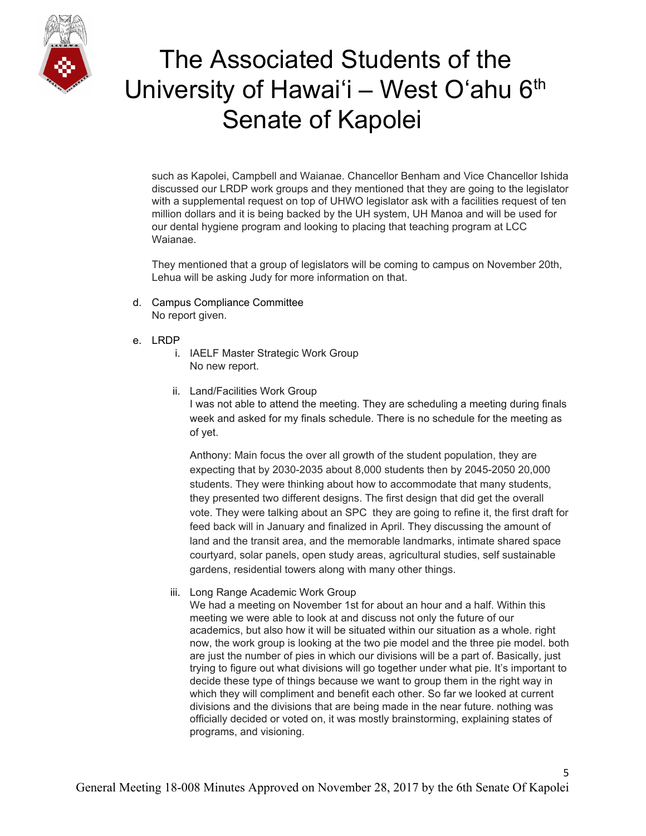

such as Kapolei, Campbell and Waianae. Chancellor Benham and Vice Chancellor Ishida discussed our LRDP work groups and they mentioned that they are going to the legislator with a supplemental request on top of UHWO legislator ask with a facilities request of ten million dollars and it is being backed by the UH system, UH Manoa and will be used for our dental hygiene program and looking to placing that teaching program at LCC Waianae.

They mentioned that a group of legislators will be coming to campus on November 20th, Lehua will be asking Judy for more information on that.

- d. Campus Compliance Committee No report given.
- e. LRDP
	- i. IAELF Master Strategic Work Group No new report.
	- ii. Land/Facilities Work Group I was not able to attend the meeting. They are scheduling a meeting during finals week and asked for my finals schedule. There is no schedule for the meeting as of yet.

Anthony: Main focus the over all growth of the student population, they are expecting that by 2030-2035 about 8,000 students then by 2045-2050 20,000 students. They were thinking about how to accommodate that many students, they presented two different designs. The first design that did get the overall vote. They were talking about an SPC they are going to refine it, the first draft for feed back will in January and finalized in April. They discussing the amount of land and the transit area, and the memorable landmarks, intimate shared space courtyard, solar panels, open study areas, agricultural studies, self sustainable gardens, residential towers along with many other things.

iii. Long Range Academic Work Group

We had a meeting on November 1st for about an hour and a half. Within this meeting we were able to look at and discuss not only the future of our academics, but also how it will be situated within our situation as a whole. right now, the work group is looking at the two pie model and the three pie model. both are just the number of pies in which our divisions will be a part of. Basically, just trying to figure out what divisions will go together under what pie. It's important to decide these type of things because we want to group them in the right way in which they will compliment and benefit each other. So far we looked at current divisions and the divisions that are being made in the near future. nothing was officially decided or voted on, it was mostly brainstorming, explaining states of programs, and visioning.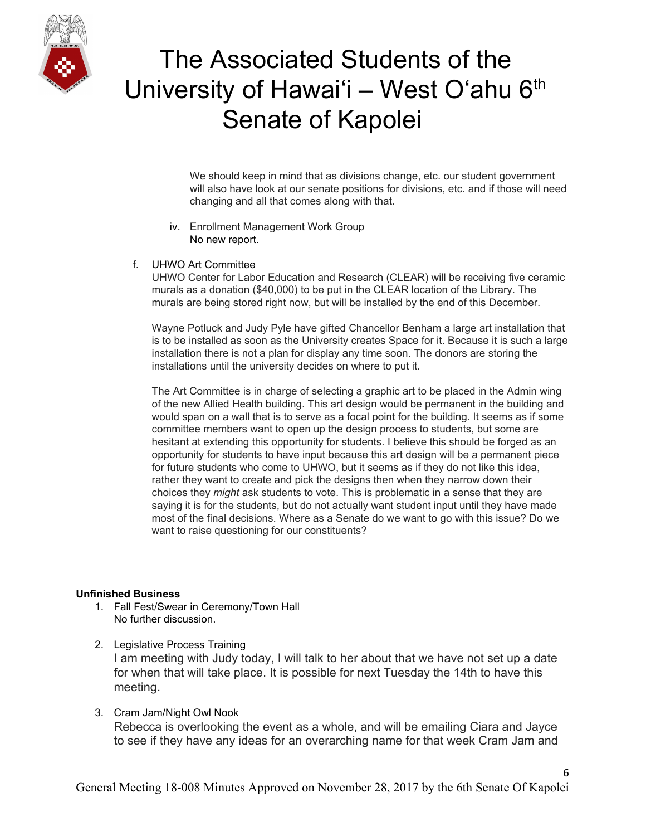

We should keep in mind that as divisions change, etc. our student government will also have look at our senate positions for divisions, etc. and if those will need changing and all that comes along with that.

- iv. Enrollment Management Work Group No new report.
- f. UHWO Art Committee

UHWO Center for Labor Education and Research (CLEAR) will be receiving five ceramic murals as a donation (\$40,000) to be put in the CLEAR location of the Library. The murals are being stored right now, but will be installed by the end of this December.

Wayne Potluck and Judy Pyle have gifted Chancellor Benham a large art installation that is to be installed as soon as the University creates Space for it. Because it is such a large installation there is not a plan for display any time soon. The donors are storing the installations until the university decides on where to put it.

The Art Committee is in charge of selecting a graphic art to be placed in the Admin wing of the new Allied Health building. This art design would be permanent in the building and would span on a wall that is to serve as a focal point for the building. It seems as if some committee members want to open up the design process to students, but some are hesitant at extending this opportunity for students. I believe this should be forged as an opportunity for students to have input because this art design will be a permanent piece for future students who come to UHWO, but it seems as if they do not like this idea, rather they want to create and pick the designs then when they narrow down their choices they *might* ask students to vote. This is problematic in a sense that they are saying it is for the students, but do not actually want student input until they have made most of the final decisions. Where as a Senate do we want to go with this issue? Do we want to raise questioning for our constituents?

#### **Unfinished Business**

- 1. Fall Fest/Swear in Ceremony/Town Hall No further discussion.
- 2. Legislative Process Training I am meeting with Judy today, I will talk to her about that we have not set up a date for when that will take place. It is possible for next Tuesday the 14th to have this meeting.
- 3. Cram Jam/Night Owl Nook Rebecca is overlooking the event as a whole, and will be emailing Ciara and Jayce to see if they have any ideas for an overarching name for that week Cram Jam and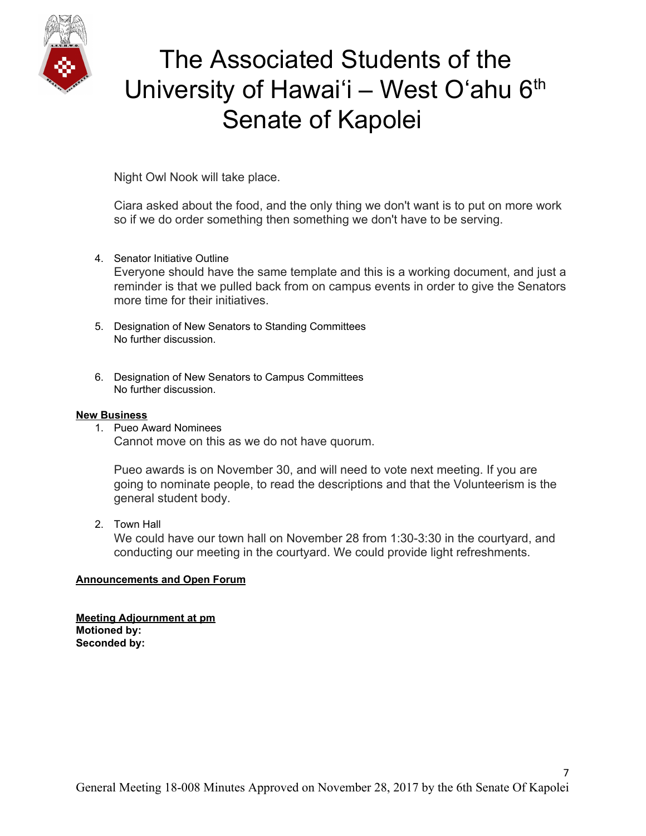

Night Owl Nook will take place.

Ciara asked about the food, and the only thing we don't want is to put on more work so if we do order something then something we don't have to be serving.

4. Senator Initiative Outline

Everyone should have the same template and this is a working document, and just a reminder is that we pulled back from on campus events in order to give the Senators more time for their initiatives.

- 5. Designation of New Senators to Standing Committees No further discussion.
- 6. Designation of New Senators to Campus Committees No further discussion.

#### **New Business**

1. Pueo Award Nominees Cannot move on this as we do not have quorum.

Pueo awards is on November 30, and will need to vote next meeting. If you are going to nominate people, to read the descriptions and that the Volunteerism is the general student body.

2. Town Hall

We could have our town hall on November 28 from 1:30-3:30 in the courtyard, and conducting our meeting in the courtyard. We could provide light refreshments.

### **Announcements and Open Forum**

**Meeting Adjournment at pm Motioned by: Seconded by:**